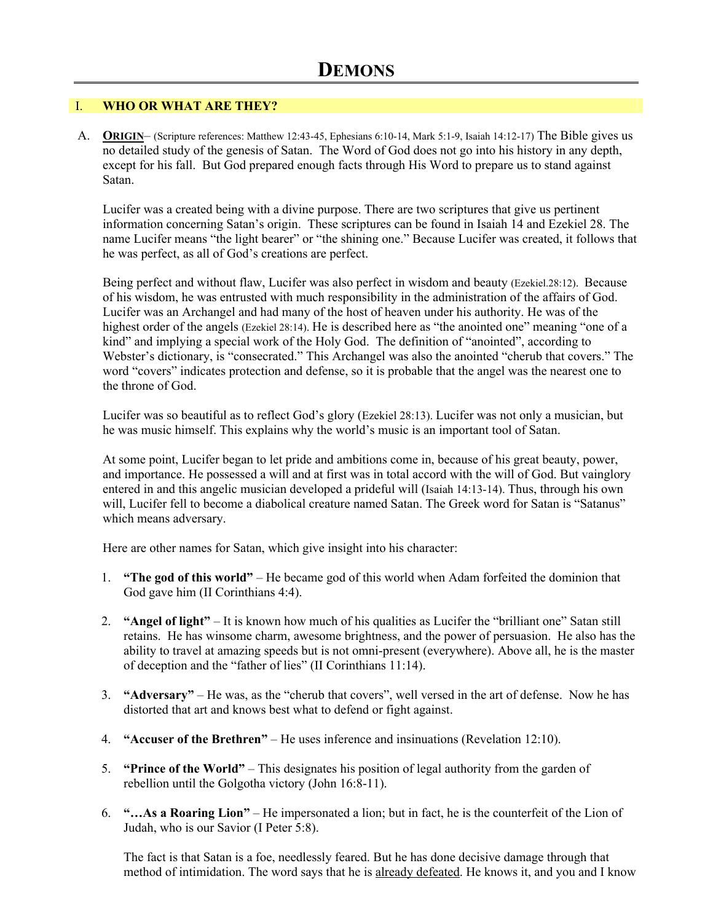## I. **WHO OR WHAT ARE THEY?**

A. **ORIGIN**– (Scripture references: Matthew 12:43-45, Ephesians 6:10-14, Mark 5:1-9, Isaiah 14:12-17) The Bible gives us no detailed study of the genesis of Satan. The Word of God does not go into his history in any depth, except for his fall. But God prepared enough facts through His Word to prepare us to stand against Satan.

Lucifer was a created being with a divine purpose. There are two scriptures that give us pertinent information concerning Satan's origin. These scriptures can be found in Isaiah 14 and Ezekiel 28. The name Lucifer means "the light bearer" or "the shining one." Because Lucifer was created, it follows that he was perfect, as all of God's creations are perfect.

Being perfect and without flaw, Lucifer was also perfect in wisdom and beauty (Ezekiel.28:12). Because of his wisdom, he was entrusted with much responsibility in the administration of the affairs of God. Lucifer was an Archangel and had many of the host of heaven under his authority. He was of the highest order of the angels (Ezekiel 28:14). He is described here as "the anointed one" meaning "one of a kind" and implying a special work of the Holy God. The definition of "anointed", according to Webster's dictionary, is "consecrated." This Archangel was also the anointed "cherub that covers." The word "covers" indicates protection and defense, so it is probable that the angel was the nearest one to the throne of God.

Lucifer was so beautiful as to reflect God's glory (Ezekiel 28:13). Lucifer was not only a musician, but he was music himself. This explains why the world's music is an important tool of Satan.

At some point, Lucifer began to let pride and ambitions come in, because of his great beauty, power, and importance. He possessed a will and at first was in total accord with the will of God. But vainglory entered in and this angelic musician developed a prideful will (Isaiah 14:13-14). Thus, through his own will, Lucifer fell to become a diabolical creature named Satan. The Greek word for Satan is "Satanus" which means adversary.

Here are other names for Satan, which give insight into his character:

- 1. **"The god of this world"** He became god of this world when Adam forfeited the dominion that God gave him (II Corinthians 4:4).
- 2. **"Angel of light"** It is known how much of his qualities as Lucifer the "brilliant one" Satan still retains. He has winsome charm, awesome brightness, and the power of persuasion. He also has the ability to travel at amazing speeds but is not omni-present (everywhere). Above all, he is the master of deception and the "father of lies" (II Corinthians 11:14).
- 3. **"Adversary"** He was, as the "cherub that covers", well versed in the art of defense. Now he has distorted that art and knows best what to defend or fight against.
- 4. **"Accuser of the Brethren"** He uses inference and insinuations (Revelation 12:10).
- 5. **"Prince of the World"** This designates his position of legal authority from the garden of rebellion until the Golgotha victory (John 16:8-11).
- 6. **"…As a Roaring Lion"** He impersonated a lion; but in fact, he is the counterfeit of the Lion of Judah, who is our Savior (I Peter 5:8).

The fact is that Satan is a foe, needlessly feared. But he has done decisive damage through that method of intimidation. The word says that he is already defeated. He knows it, and you and I know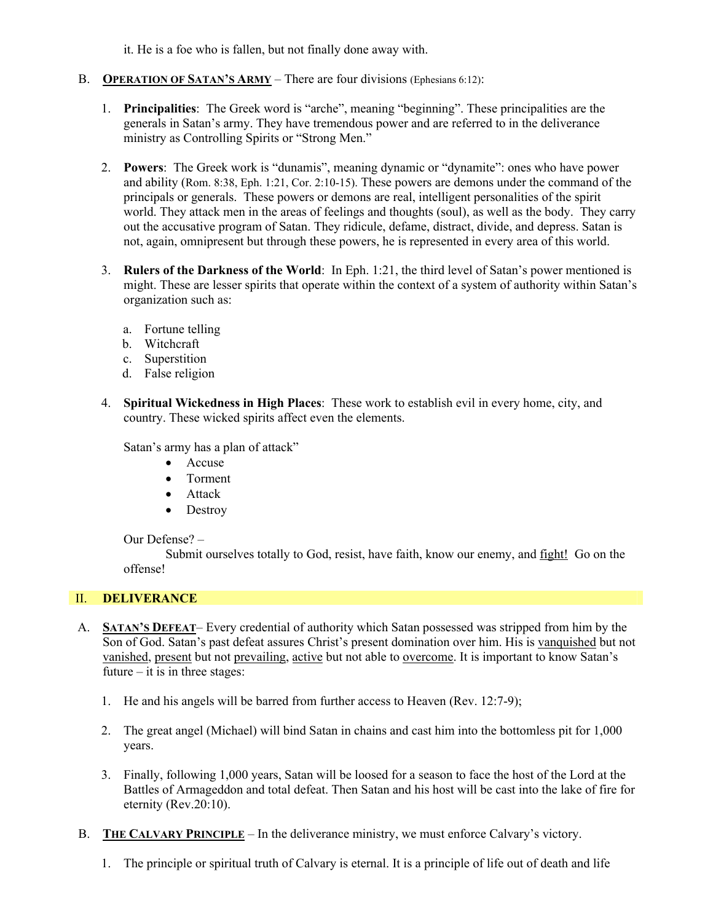it. He is a foe who is fallen, but not finally done away with.

- B. **OPERATION OF SATAN'S ARMY** There are four divisions (Ephesians 6:12):
	- 1. **Principalities**: The Greek word is "arche", meaning "beginning". These principalities are the generals in Satan's army. They have tremendous power and are referred to in the deliverance ministry as Controlling Spirits or "Strong Men."
	- 2. **Powers**: The Greek work is "dunamis", meaning dynamic or "dynamite": ones who have power and ability (Rom. 8:38, Eph. 1:21, Cor. 2:10-15). These powers are demons under the command of the principals or generals. These powers or demons are real, intelligent personalities of the spirit world. They attack men in the areas of feelings and thoughts (soul), as well as the body. They carry out the accusative program of Satan. They ridicule, defame, distract, divide, and depress. Satan is not, again, omnipresent but through these powers, he is represented in every area of this world.
	- 3. **Rulers of the Darkness of the World**: In Eph. 1:21, the third level of Satan's power mentioned is might. These are lesser spirits that operate within the context of a system of authority within Satan's organization such as:
		- a. Fortune telling
		- b. Witchcraft
		- c. Superstition
		- d. False religion
	- 4. **Spiritual Wickedness in High Places**: These work to establish evil in every home, city, and country. These wicked spirits affect even the elements.

Satan's army has a plan of attack"

- Accuse
- Torment
- Attack
- Destroy

Our Defense? –

 Submit ourselves totally to God, resist, have faith, know our enemy, and fight! Go on the offense!

## II. **DELIVERANCE**

- A. **SATAN'S DEFEAT** Every credential of authority which Satan possessed was stripped from him by the Son of God. Satan's past defeat assures Christ's present domination over him. His is vanquished but not vanished, present but not prevailing, active but not able to overcome. It is important to know Satan's future  $-$  it is in three stages:
	- 1. He and his angels will be barred from further access to Heaven (Rev. 12:7-9);
	- 2. The great angel (Michael) will bind Satan in chains and cast him into the bottomless pit for 1,000 years.
	- 3. Finally, following 1,000 years, Satan will be loosed for a season to face the host of the Lord at the Battles of Armageddon and total defeat. Then Satan and his host will be cast into the lake of fire for eternity (Rev.20:10).
- B. **THE CALVARY PRINCIPLE** In the deliverance ministry, we must enforce Calvary's victory.
	- 1. The principle or spiritual truth of Calvary is eternal. It is a principle of life out of death and life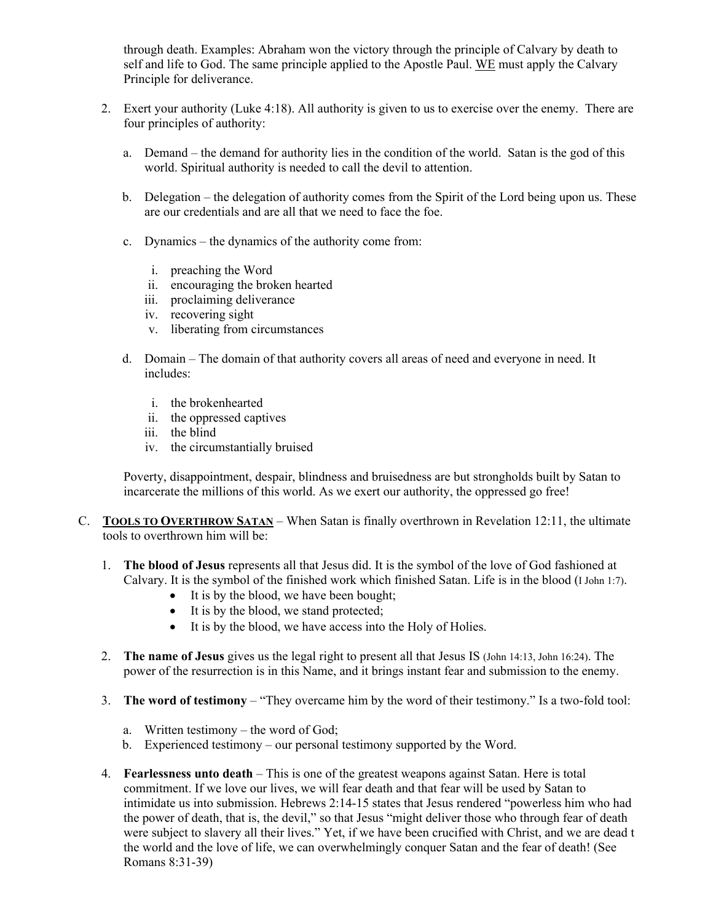through death. Examples: Abraham won the victory through the principle of Calvary by death to self and life to God. The same principle applied to the Apostle Paul. WE must apply the Calvary Principle for deliverance.

- 2. Exert your authority (Luke 4:18). All authority is given to us to exercise over the enemy. There are four principles of authority:
	- a. Demand the demand for authority lies in the condition of the world. Satan is the god of this world. Spiritual authority is needed to call the devil to attention.
	- b. Delegation the delegation of authority comes from the Spirit of the Lord being upon us. These are our credentials and are all that we need to face the foe.
	- c. Dynamics the dynamics of the authority come from:
		- i. preaching the Word
		- ii. encouraging the broken hearted
		- iii. proclaiming deliverance
		- iv. recovering sight
		- v. liberating from circumstances
	- d. Domain The domain of that authority covers all areas of need and everyone in need. It includes:
		- i. the brokenhearted
		- ii. the oppressed captives
		- iii. the blind
		- iv. the circumstantially bruised

Poverty, disappointment, despair, blindness and bruisedness are but strongholds built by Satan to incarcerate the millions of this world. As we exert our authority, the oppressed go free!

- C. **TOOLS TO OVERTHROW SATAN** When Satan is finally overthrown in Revelation 12:11, the ultimate tools to overthrown him will be:
	- 1. **The blood of Jesus** represents all that Jesus did. It is the symbol of the love of God fashioned at Calvary. It is the symbol of the finished work which finished Satan. Life is in the blood (I John 1:7).
		- It is by the blood, we have been bought;
		- It is by the blood, we stand protected;
		- It is by the blood, we have access into the Holy of Holies.
	- 2. **The name of Jesus** gives us the legal right to present all that Jesus IS (John 14:13, John 16:24). The power of the resurrection is in this Name, and it brings instant fear and submission to the enemy.
	- 3. **The word of testimony** "They overcame him by the word of their testimony." Is a two-fold tool:
		- a. Written testimony the word of God;
		- b. Experienced testimony our personal testimony supported by the Word.
	- 4. **Fearlessness unto death** This is one of the greatest weapons against Satan. Here is total commitment. If we love our lives, we will fear death and that fear will be used by Satan to intimidate us into submission. Hebrews 2:14-15 states that Jesus rendered "powerless him who had the power of death, that is, the devil," so that Jesus "might deliver those who through fear of death were subject to slavery all their lives." Yet, if we have been crucified with Christ, and we are dead t the world and the love of life, we can overwhelmingly conquer Satan and the fear of death! (See Romans 8:31-39)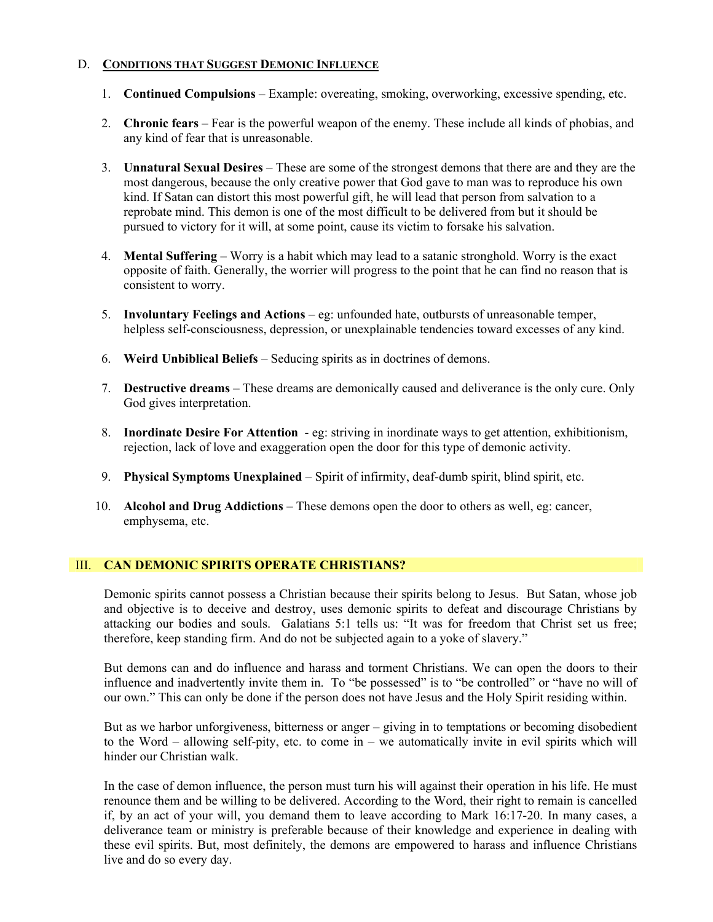## D. **CONDITIONS THAT SUGGEST DEMONIC INFLUENCE**

- 1. **Continued Compulsions** Example: overeating, smoking, overworking, excessive spending, etc.
- 2. **Chronic fears** Fear is the powerful weapon of the enemy. These include all kinds of phobias, and any kind of fear that is unreasonable.
- 3. **Unnatural Sexual Desires** These are some of the strongest demons that there are and they are the most dangerous, because the only creative power that God gave to man was to reproduce his own kind. If Satan can distort this most powerful gift, he will lead that person from salvation to a reprobate mind. This demon is one of the most difficult to be delivered from but it should be pursued to victory for it will, at some point, cause its victim to forsake his salvation.
- 4. **Mental Suffering** Worry is a habit which may lead to a satanic stronghold. Worry is the exact opposite of faith. Generally, the worrier will progress to the point that he can find no reason that is consistent to worry.
- 5. **Involuntary Feelings and Actions** eg: unfounded hate, outbursts of unreasonable temper, helpless self-consciousness, depression, or unexplainable tendencies toward excesses of any kind.
- 6. **Weird Unbiblical Beliefs** Seducing spirits as in doctrines of demons.
- 7. **Destructive dreams** These dreams are demonically caused and deliverance is the only cure. Only God gives interpretation.
- 8. **Inordinate Desire For Attention** eg: striving in inordinate ways to get attention, exhibitionism, rejection, lack of love and exaggeration open the door for this type of demonic activity.
- 9. **Physical Symptoms Unexplained** Spirit of infirmity, deaf-dumb spirit, blind spirit, etc.
- 10. **Alcohol and Drug Addictions** These demons open the door to others as well, eg: cancer, emphysema, etc.

## III. **CAN DEMONIC SPIRITS OPERATE CHRISTIANS?**

Demonic spirits cannot possess a Christian because their spirits belong to Jesus. But Satan, whose job and objective is to deceive and destroy, uses demonic spirits to defeat and discourage Christians by attacking our bodies and souls. Galatians 5:1 tells us: "It was for freedom that Christ set us free; therefore, keep standing firm. And do not be subjected again to a yoke of slavery."

But demons can and do influence and harass and torment Christians. We can open the doors to their influence and inadvertently invite them in. To "be possessed" is to "be controlled" or "have no will of our own." This can only be done if the person does not have Jesus and the Holy Spirit residing within.

But as we harbor unforgiveness, bitterness or anger – giving in to temptations or becoming disobedient to the Word – allowing self-pity, etc. to come in – we automatically invite in evil spirits which will hinder our Christian walk.

In the case of demon influence, the person must turn his will against their operation in his life. He must renounce them and be willing to be delivered. According to the Word, their right to remain is cancelled if, by an act of your will, you demand them to leave according to Mark 16:17-20. In many cases, a deliverance team or ministry is preferable because of their knowledge and experience in dealing with these evil spirits. But, most definitely, the demons are empowered to harass and influence Christians live and do so every day.